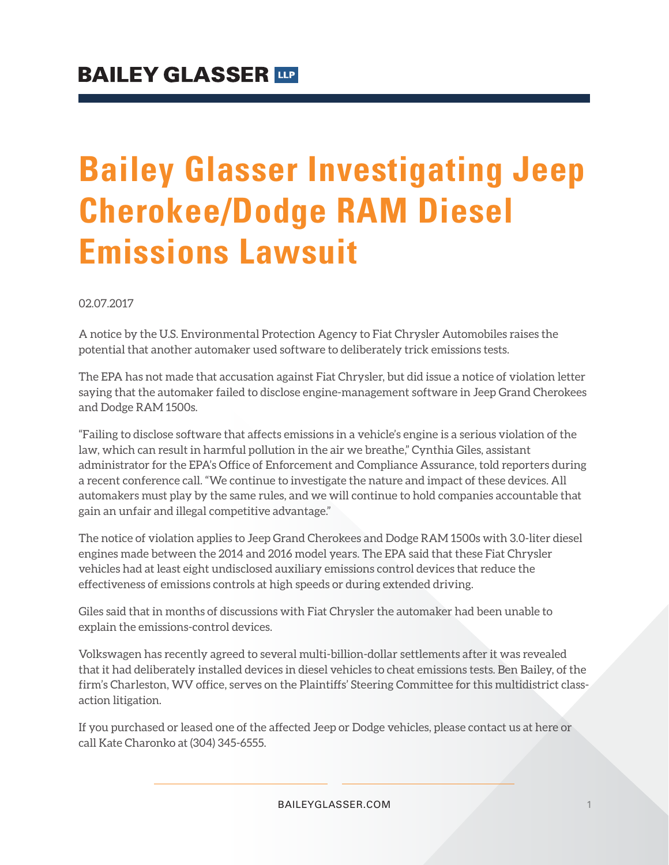## **Bailey Glasser Investigating Jeep Cherokee/Dodge RAM Diesel Emissions Lawsuit**

02.07.2017

A notice by the U.S. Environmental Protection Agency to Fiat Chrysler Automobiles raises the potential that another automaker used software to deliberately trick emissions tests.

The EPA has not made that accusation against Fiat Chrysler, but did issue a notice of violation letter saying that the automaker failed to disclose engine-management software in Jeep Grand Cherokees and Dodge RAM 1500s.

"Failing to disclose software that affects emissions in a vehicle's engine is a serious violation of the law, which can result in harmful pollution in the air we breathe," Cynthia Giles, assistant administrator for the EPA's Office of Enforcement and Compliance Assurance, told reporters during a recent conference call. "We continue to investigate the nature and impact of these devices. All automakers must play by the same rules, and we will continue to hold companies accountable that gain an unfair and illegal competitive advantage."

The notice of violation applies to Jeep Grand Cherokees and Dodge RAM 1500s with 3.0-liter diesel engines made between the 2014 and 2016 model years. The EPA said that these Fiat Chrysler vehicles had at least eight undisclosed auxiliary emissions control devices that reduce the effectiveness of emissions controls at high speeds or during extended driving.

Giles said that in months of discussions with Fiat Chrysler the automaker had been unable to explain the emissions-control devices.

Volkswagen has recently agreed to several multi-billion-dollar settlements after it was revealed that it had deliberately installed devices in diesel vehicles to cheat emissions tests. Ben Bailey, of the firm's Charleston, WV office, serves on the Plaintiffs' Steering Committee for this multidistrict classaction litigation.

If you purchased or leased one of the affected Jeep or Dodge vehicles, please contact us at here or call Kate Charonko at (304) 345-6555.